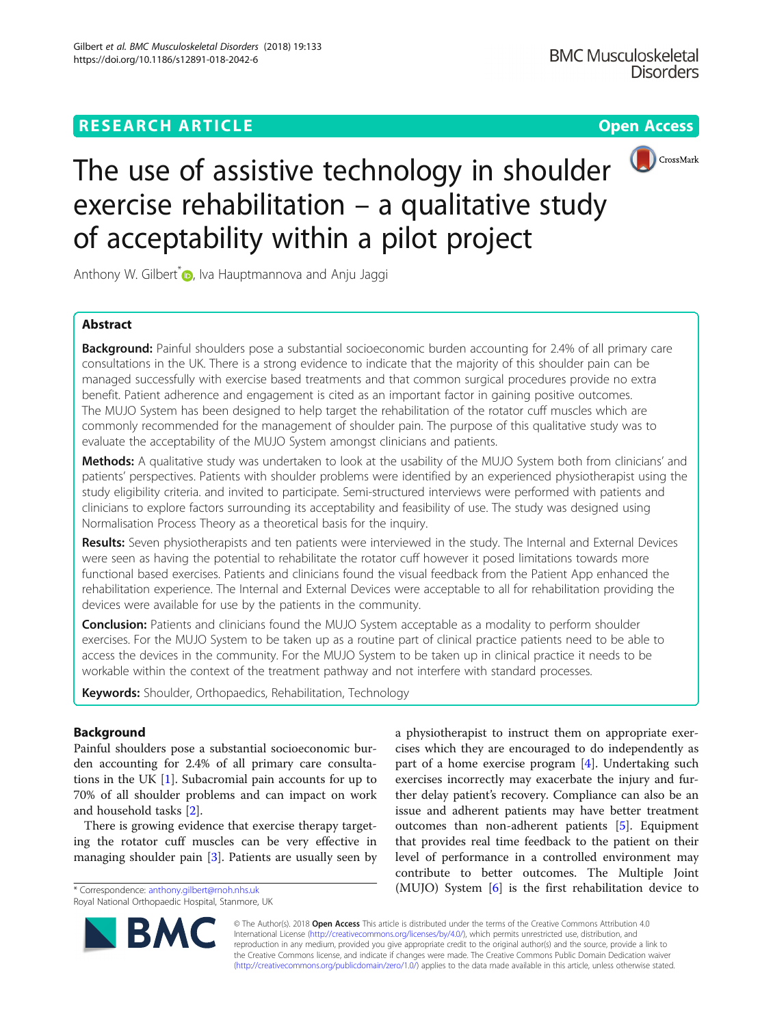

# The use of assistive technology in shoulder exercise rehabilitation – a qualitative study of acceptability within a pilot project

Anthony W. Gilbert $^*$  [,](http://orcid.org/0000-0003-2526-8057) Iva Hauptmannova and Anju Jaggi

# Abstract

**Background:** Painful shoulders pose a substantial socioeconomic burden accounting for 2.4% of all primary care consultations in the UK. There is a strong evidence to indicate that the majority of this shoulder pain can be managed successfully with exercise based treatments and that common surgical procedures provide no extra benefit. Patient adherence and engagement is cited as an important factor in gaining positive outcomes. The MUJO System has been designed to help target the rehabilitation of the rotator cuff muscles which are commonly recommended for the management of shoulder pain. The purpose of this qualitative study was to evaluate the acceptability of the MUJO System amongst clinicians and patients.

Methods: A qualitative study was undertaken to look at the usability of the MUJO System both from clinicians' and patients' perspectives. Patients with shoulder problems were identified by an experienced physiotherapist using the study eligibility criteria. and invited to participate. Semi-structured interviews were performed with patients and clinicians to explore factors surrounding its acceptability and feasibility of use. The study was designed using Normalisation Process Theory as a theoretical basis for the inquiry.

Results: Seven physiotherapists and ten patients were interviewed in the study. The Internal and External Devices were seen as having the potential to rehabilitate the rotator cuff however it posed limitations towards more functional based exercises. Patients and clinicians found the visual feedback from the Patient App enhanced the rehabilitation experience. The Internal and External Devices were acceptable to all for rehabilitation providing the devices were available for use by the patients in the community.

**Conclusion:** Patients and clinicians found the MUJO System acceptable as a modality to perform shoulder exercises. For the MUJO System to be taken up as a routine part of clinical practice patients need to be able to access the devices in the community. For the MUJO System to be taken up in clinical practice it needs to be workable within the context of the treatment pathway and not interfere with standard processes.

Keywords: Shoulder, Orthopaedics, Rehabilitation, Technology

# Background

Painful shoulders pose a substantial socioeconomic burden accounting for 2.4% of all primary care consultations in the UK [[1\]](#page-7-0). Subacromial pain accounts for up to 70% of all shoulder problems and can impact on work and household tasks [\[2](#page-7-0)].

There is growing evidence that exercise therapy targeting the rotator cuff muscles can be very effective in managing shoulder pain [[3\]](#page-7-0). Patients are usually seen by

Royal National Orthopaedic Hospital, Stanmore, UK

a physiotherapist to instruct them on appropriate exercises which they are encouraged to do independently as part of a home exercise program [[4\]](#page-7-0). Undertaking such exercises incorrectly may exacerbate the injury and further delay patient's recovery. Compliance can also be an issue and adherent patients may have better treatment outcomes than non-adherent patients [\[5](#page-7-0)]. Equipment that provides real time feedback to the patient on their level of performance in a controlled environment may contribute to better outcomes. The Multiple Joint \* Correspondence: anthony.gilbert@moh.nhs.uk (MUJO) System [[6](#page-7-0)] is the first rehabilitation device to

> © The Author(s). 2018 Open Access This article is distributed under the terms of the Creative Commons Attribution 4.0 International License [\(http://creativecommons.org/licenses/by/4.0/](http://creativecommons.org/licenses/by/4.0/)), which permits unrestricted use, distribution, and reproduction in any medium, provided you give appropriate credit to the original author(s) and the source, provide a link to the Creative Commons license, and indicate if changes were made. The Creative Commons Public Domain Dedication waiver [\(http://creativecommons.org/publicdomain/zero/1.0/](http://creativecommons.org/publicdomain/zero/1.0/)) applies to the data made available in this article, unless otherwise stated.

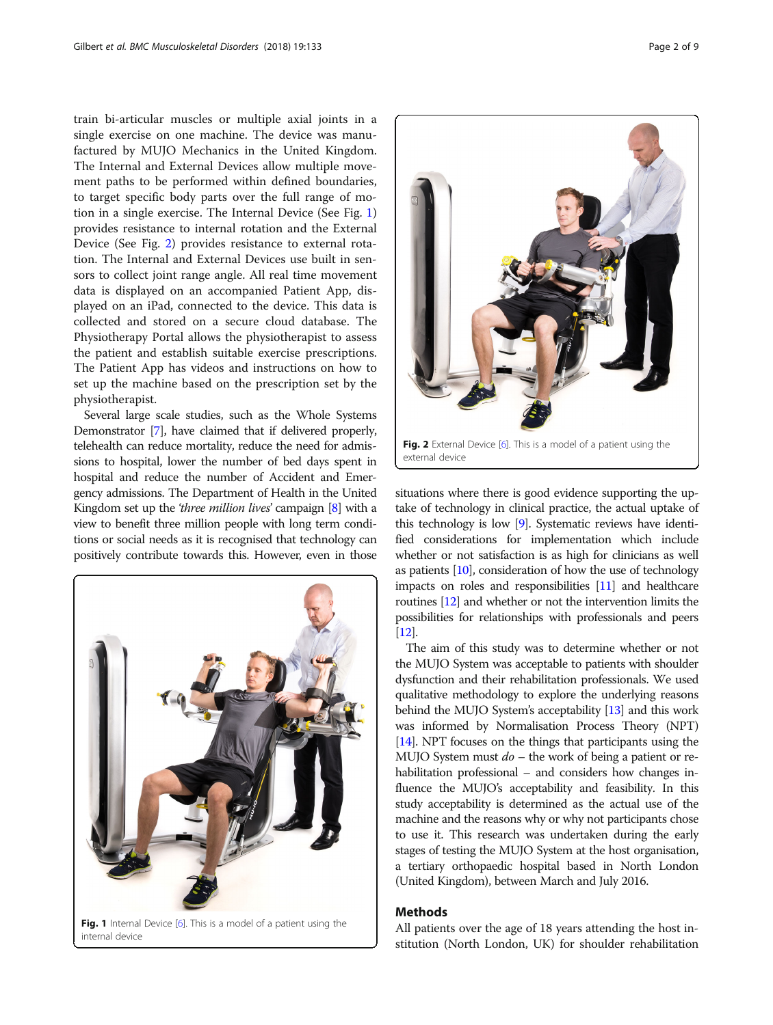train bi-articular muscles or multiple axial joints in a single exercise on one machine. The device was manufactured by MUJO Mechanics in the United Kingdom. The Internal and External Devices allow multiple movement paths to be performed within defined boundaries, to target specific body parts over the full range of motion in a single exercise. The Internal Device (See Fig. 1) provides resistance to internal rotation and the External Device (See Fig. 2) provides resistance to external rotation. The Internal and External Devices use built in sensors to collect joint range angle. All real time movement data is displayed on an accompanied Patient App, displayed on an iPad, connected to the device. This data is collected and stored on a secure cloud database. The Physiotherapy Portal allows the physiotherapist to assess the patient and establish suitable exercise prescriptions. The Patient App has videos and instructions on how to set up the machine based on the prescription set by the physiotherapist.

Several large scale studies, such as the Whole Systems Demonstrator [[7](#page-7-0)], have claimed that if delivered properly, telehealth can reduce mortality, reduce the need for admissions to hospital, lower the number of bed days spent in hospital and reduce the number of Accident and Emergency admissions. The Department of Health in the United Kingdom set up the 'three million lives' campaign [[8](#page-7-0)] with a view to benefit three million people with long term conditions or social needs as it is recognised that technology can positively contribute towards this. However, even in those



internal device

Fig. 2 External Device [\[6](#page-7-0)]. This is a model of a patient using the external device

situations where there is good evidence supporting the uptake of technology in clinical practice, the actual uptake of this technology is low [[9](#page-7-0)]. Systematic reviews have identified considerations for implementation which include whether or not satisfaction is as high for clinicians as well as patients  $[10]$  $[10]$  $[10]$ , consideration of how the use of technology impacts on roles and responsibilities [\[11\]](#page-7-0) and healthcare routines [\[12\]](#page-7-0) and whether or not the intervention limits the possibilities for relationships with professionals and peers [[12](#page-7-0)].

The aim of this study was to determine whether or not the MUJO System was acceptable to patients with shoulder dysfunction and their rehabilitation professionals. We used qualitative methodology to explore the underlying reasons behind the MUJO System's acceptability [\[13](#page-7-0)] and this work was informed by Normalisation Process Theory (NPT) [[14](#page-7-0)]. NPT focuses on the things that participants using the MUJO System must  $do$  – the work of being a patient or rehabilitation professional – and considers how changes influence the MUJO's acceptability and feasibility. In this study acceptability is determined as the actual use of the machine and the reasons why or why not participants chose to use it. This research was undertaken during the early stages of testing the MUJO System at the host organisation, a tertiary orthopaedic hospital based in North London (United Kingdom), between March and July 2016.

## Methods

All patients over the age of 18 years attending the host institution (North London, UK) for shoulder rehabilitation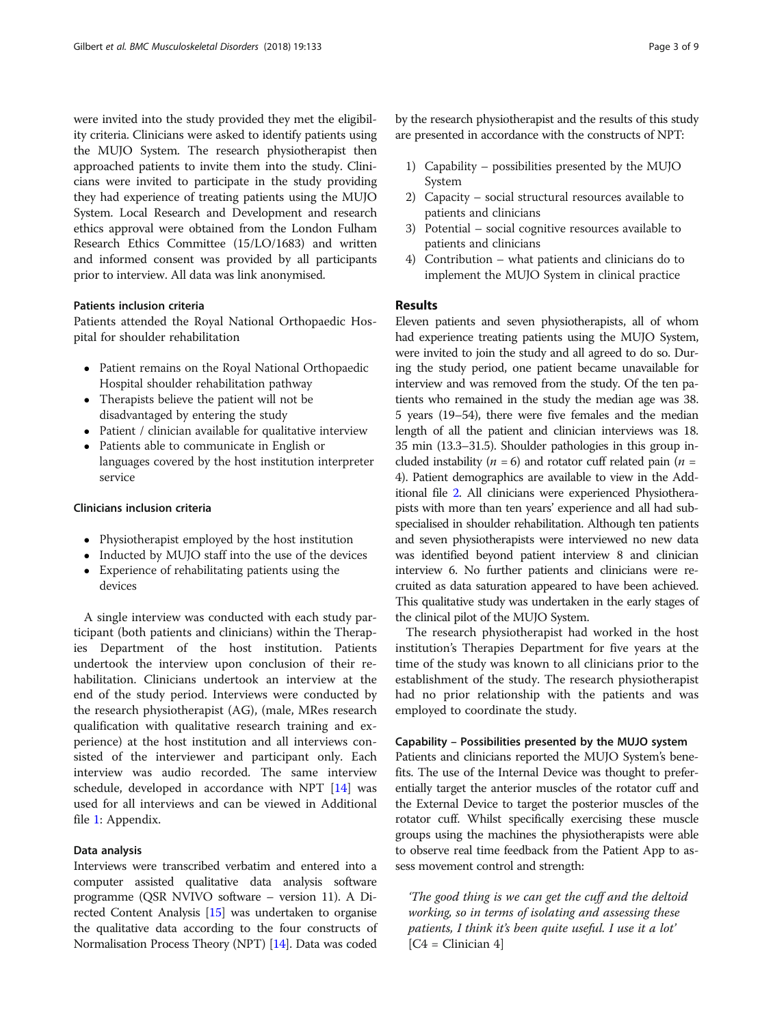were invited into the study provided they met the eligibility criteria. Clinicians were asked to identify patients using the MUJO System. The research physiotherapist then approached patients to invite them into the study. Clinicians were invited to participate in the study providing they had experience of treating patients using the MUJO System. Local Research and Development and research ethics approval were obtained from the London Fulham Research Ethics Committee (15/LO/1683) and written and informed consent was provided by all participants prior to interview. All data was link anonymised.

#### Patients inclusion criteria

Patients attended the Royal National Orthopaedic Hospital for shoulder rehabilitation

- Patient remains on the Royal National Orthopaedic Hospital shoulder rehabilitation pathway
- Therapists believe the patient will not be disadvantaged by entering the study
- Patient / clinician available for qualitative interview
- Patients able to communicate in English or languages covered by the host institution interpreter service

## Clinicians inclusion criteria

- Physiotherapist employed by the host institution
- Inducted by MUJO staff into the use of the devices
- Experience of rehabilitating patients using the devices

A single interview was conducted with each study participant (both patients and clinicians) within the Therapies Department of the host institution. Patients undertook the interview upon conclusion of their rehabilitation. Clinicians undertook an interview at the end of the study period. Interviews were conducted by the research physiotherapist (AG), (male, MRes research qualification with qualitative research training and experience) at the host institution and all interviews consisted of the interviewer and participant only. Each interview was audio recorded. The same interview schedule, developed in accordance with NPT  $[14]$  $[14]$  was used for all interviews and can be viewed in Additional file [1:](#page-7-0) Appendix.

## Data analysis

Interviews were transcribed verbatim and entered into a computer assisted qualitative data analysis software programme (QSR NVIVO software – version 11). A Directed Content Analysis [\[15\]](#page-8-0) was undertaken to organise the qualitative data according to the four constructs of Normalisation Process Theory (NPT) [[14](#page-7-0)]. Data was coded

by the research physiotherapist and the results of this study are presented in accordance with the constructs of NPT:

- 1) Capability possibilities presented by the MUJO System
- 2) Capacity social structural resources available to patients and clinicians
- 3) Potential social cognitive resources available to patients and clinicians
- 4) Contribution what patients and clinicians do to implement the MUJO System in clinical practice

## Results

Eleven patients and seven physiotherapists, all of whom had experience treating patients using the MUJO System, were invited to join the study and all agreed to do so. During the study period, one patient became unavailable for interview and was removed from the study. Of the ten patients who remained in the study the median age was 38. 5 years (19–54), there were five females and the median length of all the patient and clinician interviews was 18. 35 min (13.3–31.5). Shoulder pathologies in this group included instability ( $n = 6$ ) and rotator cuff related pain ( $n =$ 4). Patient demographics are available to view in the Additional file [2.](#page-7-0) All clinicians were experienced Physiotherapists with more than ten years' experience and all had subspecialised in shoulder rehabilitation. Although ten patients and seven physiotherapists were interviewed no new data was identified beyond patient interview 8 and clinician interview 6. No further patients and clinicians were recruited as data saturation appeared to have been achieved. This qualitative study was undertaken in the early stages of the clinical pilot of the MUJO System.

The research physiotherapist had worked in the host institution's Therapies Department for five years at the time of the study was known to all clinicians prior to the establishment of the study. The research physiotherapist had no prior relationship with the patients and was employed to coordinate the study.

## Capability – Possibilities presented by the MUJO system

Patients and clinicians reported the MUJO System's benefits. The use of the Internal Device was thought to preferentially target the anterior muscles of the rotator cuff and the External Device to target the posterior muscles of the rotator cuff. Whilst specifically exercising these muscle groups using the machines the physiotherapists were able to observe real time feedback from the Patient App to assess movement control and strength:

'The good thing is we can get the cuff and the deltoid working, so in terms of isolating and assessing these patients, I think it's been quite useful. I use it a lot'  $[**C4** = **Clinician 4**]$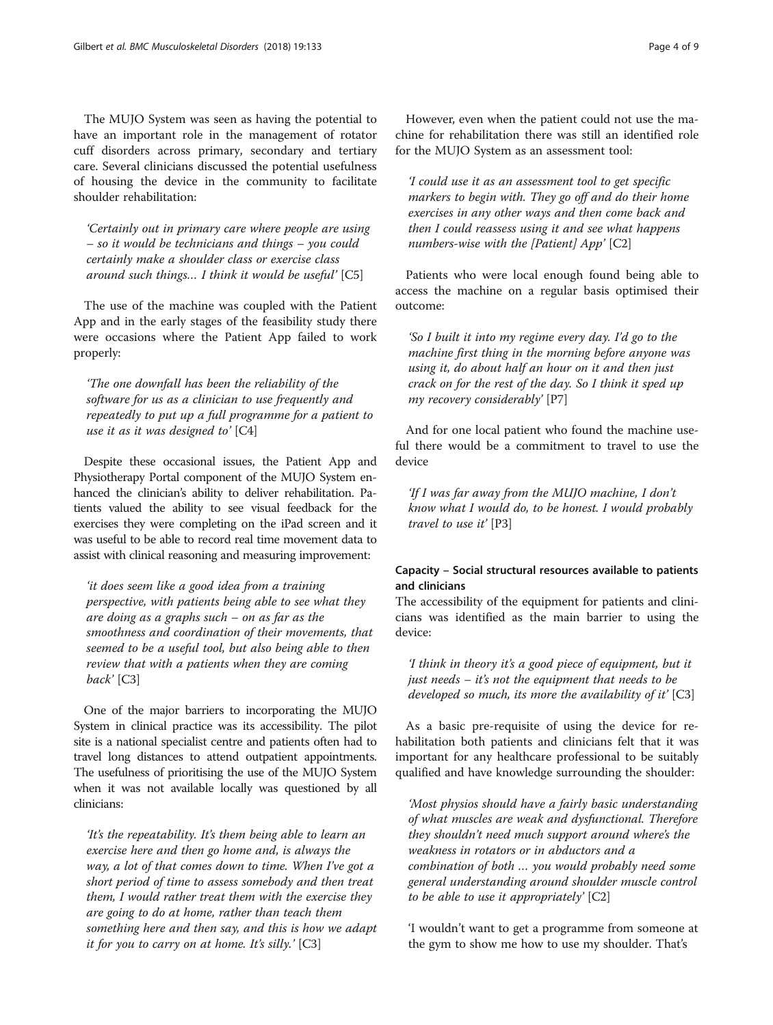The MUJO System was seen as having the potential to have an important role in the management of rotator cuff disorders across primary, secondary and tertiary care. Several clinicians discussed the potential usefulness of housing the device in the community to facilitate shoulder rehabilitation:

'Certainly out in primary care where people are using – so it would be technicians and things – you could certainly make a shoulder class or exercise class around such things… I think it would be useful' [C5]

The use of the machine was coupled with the Patient App and in the early stages of the feasibility study there were occasions where the Patient App failed to work properly:

'The one downfall has been the reliability of the software for us as a clinician to use frequently and repeatedly to put up a full programme for a patient to use it as it was designed to' [C4]

Despite these occasional issues, the Patient App and Physiotherapy Portal component of the MUJO System enhanced the clinician's ability to deliver rehabilitation. Patients valued the ability to see visual feedback for the exercises they were completing on the iPad screen and it was useful to be able to record real time movement data to assist with clinical reasoning and measuring improvement:

'it does seem like a good idea from a training perspective, with patients being able to see what they are doing as a graphs such – on as far as the smoothness and coordination of their movements, that seemed to be a useful tool, but also being able to then review that with a patients when they are coming back' [C3]

One of the major barriers to incorporating the MUJO System in clinical practice was its accessibility. The pilot site is a national specialist centre and patients often had to travel long distances to attend outpatient appointments. The usefulness of prioritising the use of the MUJO System when it was not available locally was questioned by all clinicians:

'It's the repeatability. It's them being able to learn an exercise here and then go home and, is always the way, a lot of that comes down to time. When I've got a short period of time to assess somebody and then treat them, I would rather treat them with the exercise they are going to do at home, rather than teach them something here and then say, and this is how we adapt it for you to carry on at home. It's silly.'  $[C3]$ 

However, even when the patient could not use the machine for rehabilitation there was still an identified role for the MUJO System as an assessment tool:

'I could use it as an assessment tool to get specific markers to begin with. They go off and do their home exercises in any other ways and then come back and then I could reassess using it and see what happens numbers-wise with the [Patient]  $App'$  [C2]

Patients who were local enough found being able to access the machine on a regular basis optimised their outcome:

'So I built it into my regime every day. I'd go to the machine first thing in the morning before anyone was using it, do about half an hour on it and then just crack on for the rest of the day. So I think it sped up my recovery considerably' [P7]

And for one local patient who found the machine useful there would be a commitment to travel to use the device

'If I was far away from the MUJO machine, I don't know what I would do, to be honest. I would probably travel to use it' [P3]

## Capacity – Social structural resources available to patients and clinicians

The accessibility of the equipment for patients and clinicians was identified as the main barrier to using the device:

'I think in theory it's a good piece of equipment, but it just needs – it's not the equipment that needs to be developed so much, its more the availability of it'  $[C3]$ 

As a basic pre-requisite of using the device for rehabilitation both patients and clinicians felt that it was important for any healthcare professional to be suitably qualified and have knowledge surrounding the shoulder:

'Most physios should have a fairly basic understanding of what muscles are weak and dysfunctional. Therefore they shouldn't need much support around where's the weakness in rotators or in abductors and a combination of both … you would probably need some general understanding around shoulder muscle control to be able to use it appropriately' [C2]

'I wouldn't want to get a programme from someone at the gym to show me how to use my shoulder. That's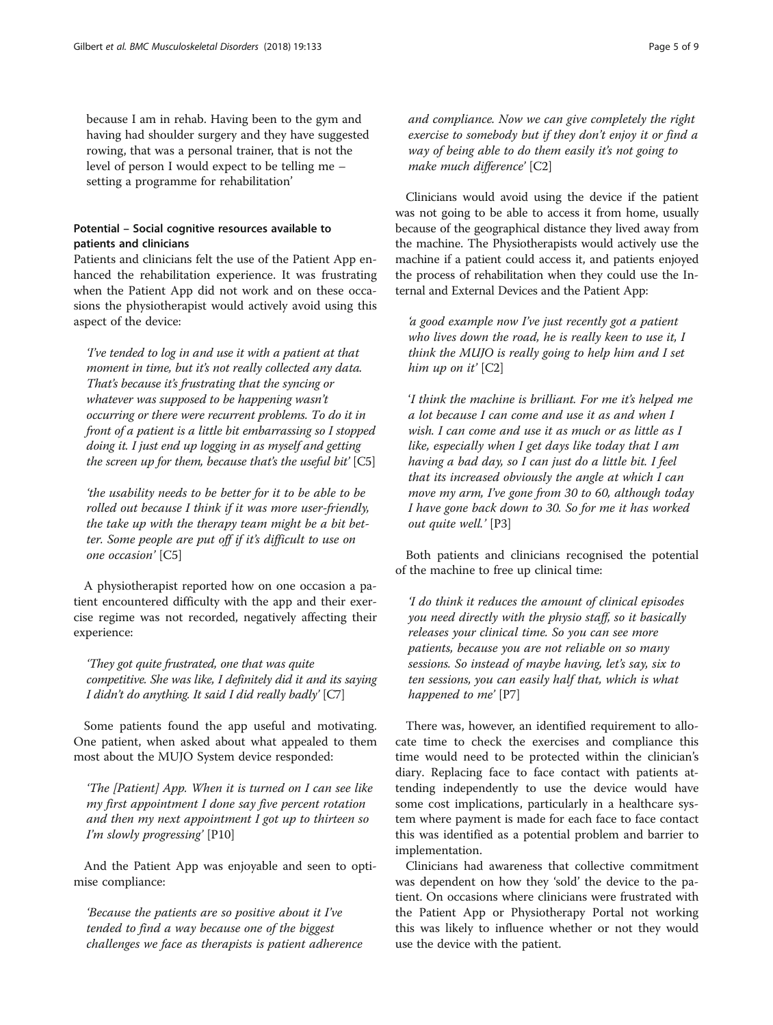because I am in rehab. Having been to the gym and having had shoulder surgery and they have suggested rowing, that was a personal trainer, that is not the level of person I would expect to be telling me – setting a programme for rehabilitation'

## Potential – Social cognitive resources available to patients and clinicians

Patients and clinicians felt the use of the Patient App enhanced the rehabilitation experience. It was frustrating when the Patient App did not work and on these occasions the physiotherapist would actively avoid using this aspect of the device:

'I've tended to log in and use it with a patient at that moment in time, but it's not really collected any data. That's because it's frustrating that the syncing or whatever was supposed to be happening wasn't occurring or there were recurrent problems. To do it in front of a patient is a little bit embarrassing so I stopped doing it. I just end up logging in as myself and getting the screen up for them, because that's the useful bit'  $[C5]$ 

'the usability needs to be better for it to be able to be rolled out because I think if it was more user-friendly, the take up with the therapy team might be a bit better. Some people are put off if it's difficult to use on one occasion' [C5]

A physiotherapist reported how on one occasion a patient encountered difficulty with the app and their exercise regime was not recorded, negatively affecting their experience:

'They got quite frustrated, one that was quite competitive. She was like, I definitely did it and its saying I didn't do anything. It said I did really badly' [C7]

Some patients found the app useful and motivating. One patient, when asked about what appealed to them most about the MUJO System device responded:

'The [Patient] App. When it is turned on I can see like my first appointment I done say five percent rotation and then my next appointment I got up to thirteen so I'm slowly progressing' [P10]

And the Patient App was enjoyable and seen to optimise compliance:

'Because the patients are so positive about it I've tended to find a way because one of the biggest challenges we face as therapists is patient adherence and compliance. Now we can give completely the right exercise to somebody but if they don't enjoy it or find a way of being able to do them easily it's not going to make much difference' [C2]

Clinicians would avoid using the device if the patient was not going to be able to access it from home, usually because of the geographical distance they lived away from the machine. The Physiotherapists would actively use the machine if a patient could access it, and patients enjoyed the process of rehabilitation when they could use the Internal and External Devices and the Patient App:

'a good example now I've just recently got a patient who lives down the road, he is really keen to use it, I think the MUJO is really going to help him and I set him up on it'  $[C2]$ 

'I think the machine is brilliant. For me it's helped me a lot because I can come and use it as and when I wish. I can come and use it as much or as little as I like, especially when I get days like today that I am having a bad day, so I can just do a little bit. I feel that its increased obviously the angle at which I can move my arm, I've gone from 30 to 60, although today I have gone back down to 30. So for me it has worked out quite well.' [P3]

Both patients and clinicians recognised the potential of the machine to free up clinical time:

'I do think it reduces the amount of clinical episodes you need directly with the physio staff, so it basically releases your clinical time. So you can see more patients, because you are not reliable on so many sessions. So instead of maybe having, let's say, six to ten sessions, you can easily half that, which is what happened to me' [P7]

There was, however, an identified requirement to allocate time to check the exercises and compliance this time would need to be protected within the clinician's diary. Replacing face to face contact with patients attending independently to use the device would have some cost implications, particularly in a healthcare system where payment is made for each face to face contact this was identified as a potential problem and barrier to implementation.

Clinicians had awareness that collective commitment was dependent on how they 'sold' the device to the patient. On occasions where clinicians were frustrated with the Patient App or Physiotherapy Portal not working this was likely to influence whether or not they would use the device with the patient.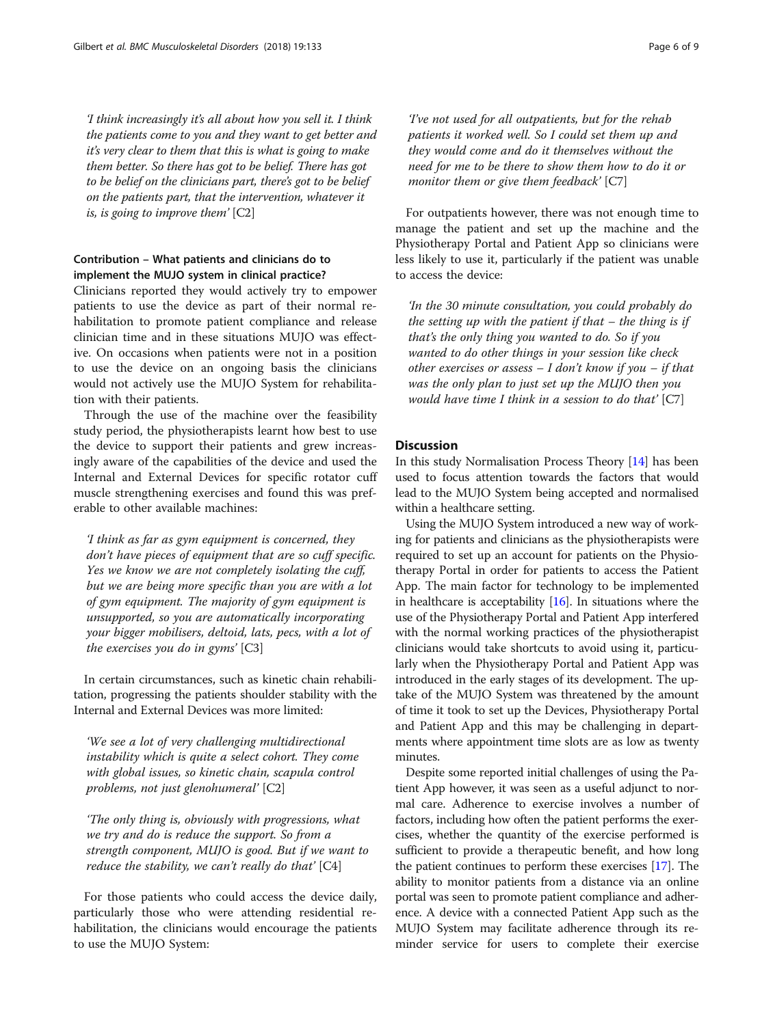'I think increasingly it's all about how you sell it. I think the patients come to you and they want to get better and it's very clear to them that this is what is going to make them better. So there has got to be belief. There has got to be belief on the clinicians part, there's got to be belief on the patients part, that the intervention, whatever it is, is going to improve them' [C2]

## Contribution – What patients and clinicians do to implement the MUJO system in clinical practice?

Clinicians reported they would actively try to empower patients to use the device as part of their normal rehabilitation to promote patient compliance and release clinician time and in these situations MUJO was effective. On occasions when patients were not in a position to use the device on an ongoing basis the clinicians would not actively use the MUJO System for rehabilitation with their patients.

Through the use of the machine over the feasibility study period, the physiotherapists learnt how best to use the device to support their patients and grew increasingly aware of the capabilities of the device and used the Internal and External Devices for specific rotator cuff muscle strengthening exercises and found this was preferable to other available machines:

'I think as far as gym equipment is concerned, they don't have pieces of equipment that are so cuff specific. Yes we know we are not completely isolating the cuff, but we are being more specific than you are with a lot of gym equipment. The majority of gym equipment is unsupported, so you are automatically incorporating your bigger mobilisers, deltoid, lats, pecs, with a lot of the exercises you do in gyms'  $[C3]$ 

In certain circumstances, such as kinetic chain rehabilitation, progressing the patients shoulder stability with the Internal and External Devices was more limited:

'We see a lot of very challenging multidirectional instability which is quite a select cohort. They come with global issues, so kinetic chain, scapula control problems, not just glenohumeral' [C2]

'The only thing is, obviously with progressions, what we try and do is reduce the support. So from a strength component, MUJO is good. But if we want to reduce the stability, we can't really do that'  $[C4]$ 

For those patients who could access the device daily, particularly those who were attending residential rehabilitation, the clinicians would encourage the patients to use the MUJO System:

'I've not used for all outpatients, but for the rehab patients it worked well. So I could set them up and they would come and do it themselves without the need for me to be there to show them how to do it or monitor them or give them feedback' [C7]

For outpatients however, there was not enough time to manage the patient and set up the machine and the Physiotherapy Portal and Patient App so clinicians were less likely to use it, particularly if the patient was unable to access the device:

'In the 30 minute consultation, you could probably do the setting up with the patient if that  $-$  the thing is if that's the only thing you wanted to do. So if you wanted to do other things in your session like check other exercises or assess  $-I$  don't know if you  $-i f$  that was the only plan to just set up the MUJO then you would have time I think in a session to do that' [C7]

## **Discussion**

In this study Normalisation Process Theory [\[14\]](#page-7-0) has been used to focus attention towards the factors that would lead to the MUJO System being accepted and normalised within a healthcare setting.

Using the MUJO System introduced a new way of working for patients and clinicians as the physiotherapists were required to set up an account for patients on the Physiotherapy Portal in order for patients to access the Patient App. The main factor for technology to be implemented in healthcare is acceptability  $[16]$ . In situations where the use of the Physiotherapy Portal and Patient App interfered with the normal working practices of the physiotherapist clinicians would take shortcuts to avoid using it, particularly when the Physiotherapy Portal and Patient App was introduced in the early stages of its development. The uptake of the MUJO System was threatened by the amount of time it took to set up the Devices, Physiotherapy Portal and Patient App and this may be challenging in departments where appointment time slots are as low as twenty minutes.

Despite some reported initial challenges of using the Patient App however, it was seen as a useful adjunct to normal care. Adherence to exercise involves a number of factors, including how often the patient performs the exercises, whether the quantity of the exercise performed is sufficient to provide a therapeutic benefit, and how long the patient continues to perform these exercises [[17](#page-8-0)]. The ability to monitor patients from a distance via an online portal was seen to promote patient compliance and adherence. A device with a connected Patient App such as the MUJO System may facilitate adherence through its reminder service for users to complete their exercise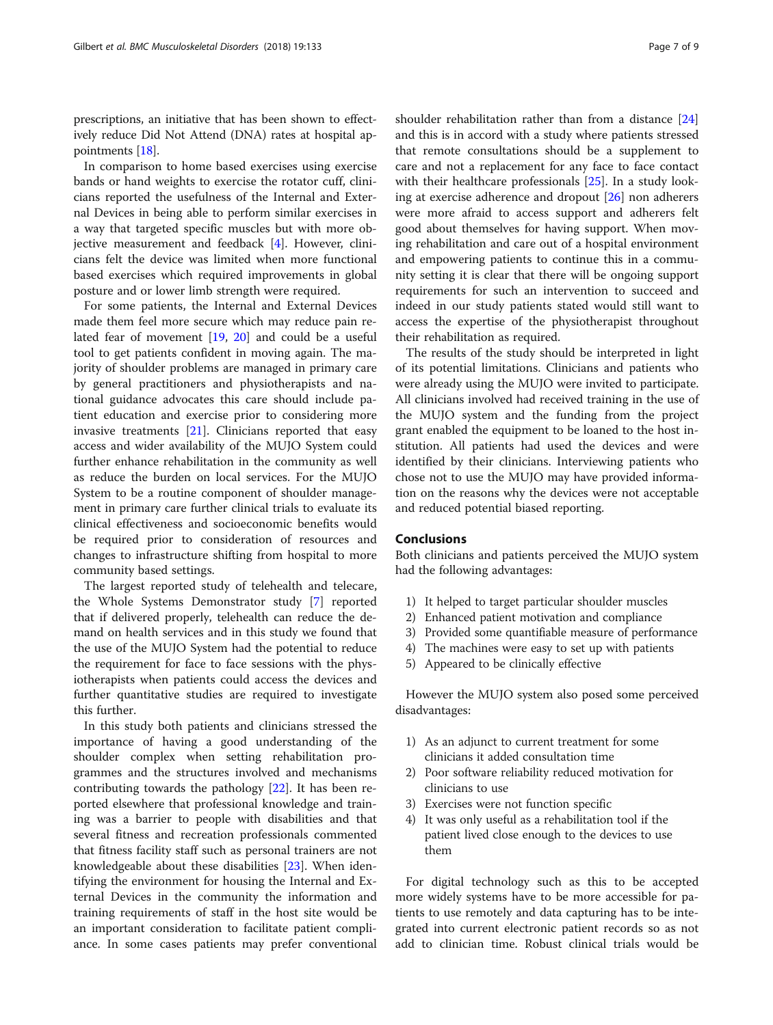prescriptions, an initiative that has been shown to effectively reduce Did Not Attend (DNA) rates at hospital appointments [\[18\]](#page-8-0).

In comparison to home based exercises using exercise bands or hand weights to exercise the rotator cuff, clinicians reported the usefulness of the Internal and External Devices in being able to perform similar exercises in a way that targeted specific muscles but with more objective measurement and feedback [\[4](#page-7-0)]. However, clinicians felt the device was limited when more functional based exercises which required improvements in global posture and or lower limb strength were required.

For some patients, the Internal and External Devices made them feel more secure which may reduce pain related fear of movement [[19,](#page-8-0) [20\]](#page-8-0) and could be a useful tool to get patients confident in moving again. The majority of shoulder problems are managed in primary care by general practitioners and physiotherapists and national guidance advocates this care should include patient education and exercise prior to considering more invasive treatments [\[21](#page-8-0)]. Clinicians reported that easy access and wider availability of the MUJO System could further enhance rehabilitation in the community as well as reduce the burden on local services. For the MUJO System to be a routine component of shoulder management in primary care further clinical trials to evaluate its clinical effectiveness and socioeconomic benefits would be required prior to consideration of resources and changes to infrastructure shifting from hospital to more community based settings.

The largest reported study of telehealth and telecare, the Whole Systems Demonstrator study [[7\]](#page-7-0) reported that if delivered properly, telehealth can reduce the demand on health services and in this study we found that the use of the MUJO System had the potential to reduce the requirement for face to face sessions with the physiotherapists when patients could access the devices and further quantitative studies are required to investigate this further.

In this study both patients and clinicians stressed the importance of having a good understanding of the shoulder complex when setting rehabilitation programmes and the structures involved and mechanisms contributing towards the pathology [[22\]](#page-8-0). It has been reported elsewhere that professional knowledge and training was a barrier to people with disabilities and that several fitness and recreation professionals commented that fitness facility staff such as personal trainers are not knowledgeable about these disabilities [[23\]](#page-8-0). When identifying the environment for housing the Internal and External Devices in the community the information and training requirements of staff in the host site would be an important consideration to facilitate patient compliance. In some cases patients may prefer conventional

shoulder rehabilitation rather than from a distance [[24](#page-8-0)] and this is in accord with a study where patients stressed that remote consultations should be a supplement to care and not a replacement for any face to face contact with their healthcare professionals [\[25](#page-8-0)]. In a study looking at exercise adherence and dropout [[26](#page-8-0)] non adherers were more afraid to access support and adherers felt good about themselves for having support. When moving rehabilitation and care out of a hospital environment and empowering patients to continue this in a community setting it is clear that there will be ongoing support requirements for such an intervention to succeed and indeed in our study patients stated would still want to access the expertise of the physiotherapist throughout their rehabilitation as required.

The results of the study should be interpreted in light of its potential limitations. Clinicians and patients who were already using the MUJO were invited to participate. All clinicians involved had received training in the use of the MUJO system and the funding from the project grant enabled the equipment to be loaned to the host institution. All patients had used the devices and were identified by their clinicians. Interviewing patients who chose not to use the MUJO may have provided information on the reasons why the devices were not acceptable and reduced potential biased reporting.

#### Conclusions

Both clinicians and patients perceived the MUJO system had the following advantages:

- 1) It helped to target particular shoulder muscles
- 2) Enhanced patient motivation and compliance
- 3) Provided some quantifiable measure of performance
- 4) The machines were easy to set up with patients
- 5) Appeared to be clinically effective

However the MUJO system also posed some perceived disadvantages:

- 1) As an adjunct to current treatment for some clinicians it added consultation time
- 2) Poor software reliability reduced motivation for clinicians to use
- 3) Exercises were not function specific
- 4) It was only useful as a rehabilitation tool if the patient lived close enough to the devices to use them

For digital technology such as this to be accepted more widely systems have to be more accessible for patients to use remotely and data capturing has to be integrated into current electronic patient records so as not add to clinician time. Robust clinical trials would be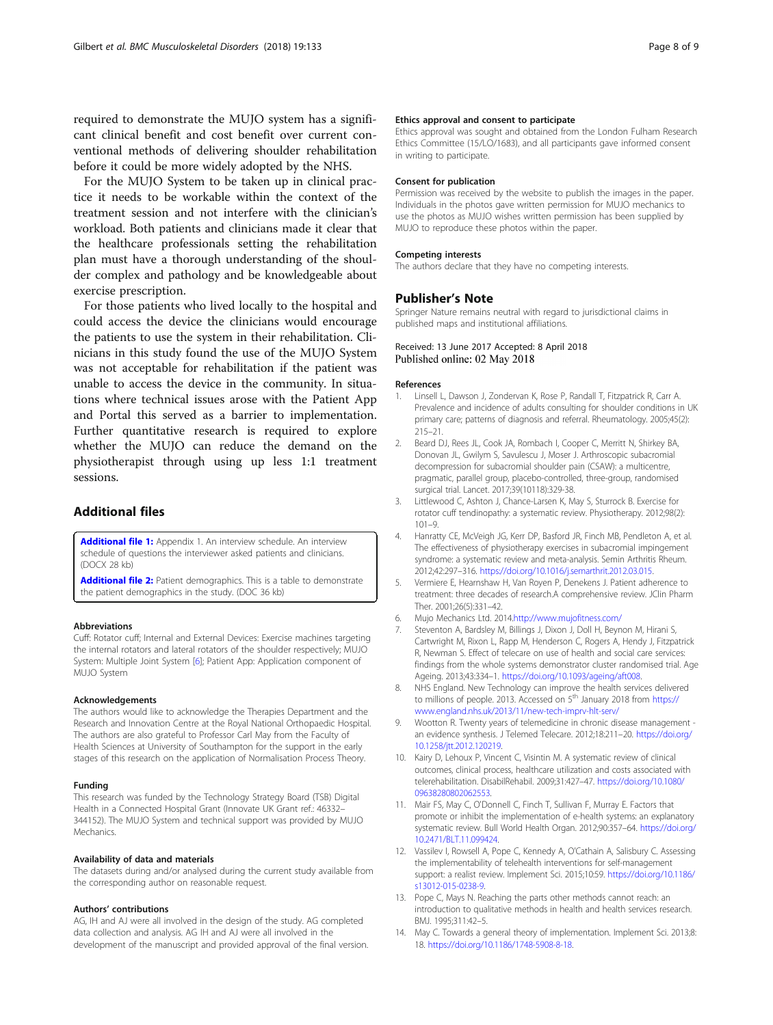<span id="page-7-0"></span>required to demonstrate the MUJO system has a significant clinical benefit and cost benefit over current conventional methods of delivering shoulder rehabilitation before it could be more widely adopted by the NHS.

For the MUJO System to be taken up in clinical practice it needs to be workable within the context of the treatment session and not interfere with the clinician's workload. Both patients and clinicians made it clear that the healthcare professionals setting the rehabilitation plan must have a thorough understanding of the shoulder complex and pathology and be knowledgeable about exercise prescription.

For those patients who lived locally to the hospital and could access the device the clinicians would encourage the patients to use the system in their rehabilitation. Clinicians in this study found the use of the MUJO System was not acceptable for rehabilitation if the patient was unable to access the device in the community. In situations where technical issues arose with the Patient App and Portal this served as a barrier to implementation. Further quantitative research is required to explore whether the MUJO can reduce the demand on the physiotherapist through using up less 1:1 treatment sessions.

## Additional files

[Additional file 1:](https://doi.org/10.1186/s12891-018-2042-6) Appendix 1. An interview schedule. An interview schedule of questions the interviewer asked patients and clinicians. (DOCX 28 kb)

[Additional file 2:](https://doi.org/10.1186/s12891-018-2042-6) Patient demographics. This is a table to demonstrate the patient demographics in the study. (DOC 36 kb)

#### Abbreviations

Cuff: Rotator cuff; Internal and External Devices: Exercise machines targeting the internal rotators and lateral rotators of the shoulder respectively; MUJO System: Multiple Joint System [6]; Patient App: Application component of MUJO System

#### Acknowledgements

The authors would like to acknowledge the Therapies Department and the Research and Innovation Centre at the Royal National Orthopaedic Hospital. The authors are also grateful to Professor Carl May from the Faculty of Health Sciences at University of Southampton for the support in the early stages of this research on the application of Normalisation Process Theory.

#### Funding

This research was funded by the Technology Strategy Board (TSB) Digital Health in a Connected Hospital Grant (Innovate UK Grant ref.: 46332– 344152). The MUJO System and technical support was provided by MUJO Mechanics.

#### Availability of data and materials

The datasets during and/or analysed during the current study available from the corresponding author on reasonable request.

#### Authors' contributions

AG, IH and AJ were all involved in the design of the study. AG completed data collection and analysis. AG IH and AJ were all involved in the development of the manuscript and provided approval of the final version.

#### Ethics approval and consent to participate

Ethics approval was sought and obtained from the London Fulham Research Ethics Committee (15/LO/1683), and all participants gave informed consent in writing to participate.

#### Consent for publication

Permission was received by the website to publish the images in the paper. Individuals in the photos gave written permission for MUJO mechanics to use the photos as MUJO wishes written permission has been supplied by MUJO to reproduce these photos within the paper.

#### Competing interests

The authors declare that they have no competing interests.

#### Publisher's Note

Springer Nature remains neutral with regard to jurisdictional claims in published maps and institutional affiliations.

#### Received: 13 June 2017 Accepted: 8 April 2018 Published online: 02 May 2018

#### References

- 1. Linsell L, Dawson J, Zondervan K, Rose P, Randall T, Fitzpatrick R, Carr A. Prevalence and incidence of adults consulting for shoulder conditions in UK primary care; patterns of diagnosis and referral. Rheumatology. 2005;45(2): 215–21.
- 2. Beard DJ, Rees JL, Cook JA, Rombach I, Cooper C, Merritt N, Shirkey BA, Donovan JL, Gwilym S, Savulescu J, Moser J. Arthroscopic subacromial decompression for subacromial shoulder pain (CSAW): a multicentre, pragmatic, parallel group, placebo-controlled, three-group, randomised surgical trial. Lancet. 2017;39(10118):329-38.
- 3. Littlewood C, Ashton J, Chance-Larsen K, May S, Sturrock B. Exercise for rotator cuff tendinopathy: a systematic review. Physiotherapy. 2012;98(2):  $101 - 9$
- 4. Hanratty CE, McVeigh JG, Kerr DP, Basford JR, Finch MB, Pendleton A, et al. The effectiveness of physiotherapy exercises in subacromial impingement syndrome: a systematic review and meta-analysis. Semin Arthritis Rheum. 2012;42:297–316. [https://doi.org/10.1016/j.semarthrit.2012.03.015.](https://doi.org/10.1016/j.semarthrit.2012.03.015)
- 5. Vermiere E, Hearnshaw H, Van Royen P, Denekens J. Patient adherence to treatment: three decades of research.A comprehensive review. JClin Pharm Ther. 2001;26(5):331–42.
- 6. Mujo Mechanics Ltd. 2014.<http://www.mujofitness.com/>
- Steventon A, Bardsley M, Billings J, Dixon J, Doll H, Beynon M, Hirani S, Cartwright M, Rixon L, Rapp M, Henderson C, Rogers A, Hendy J, Fitzpatrick R, Newman S. Effect of telecare on use of health and social care services: findings from the whole systems demonstrator cluster randomised trial. Age Ageing. 2013;43:334–1. [https://doi.org/10.1093/ageing/aft008.](https://doi.org/10.1093/ageing/aft008)
- 8. NHS England. New Technology can improve the health services delivered to millions of people. 2013. Accessed on 5<sup>th</sup> January 2018 from [https://](https://www.england.nhs.uk/2013/11/new-tech-imprv-hlt-serv/) [www.england.nhs.uk/2013/11/new-tech-imprv-hlt-serv/](https://www.england.nhs.uk/2013/11/new-tech-imprv-hlt-serv/)
- 9. Wootton R. Twenty years of telemedicine in chronic disease management an evidence synthesis. J Telemed Telecare. 2012;18:211–20. [https://doi.org/](https://doi.org/10.1258/jtt.2012.120219) [10.1258/jtt.2012.120219](https://doi.org/10.1258/jtt.2012.120219).
- 10. Kairy D, Lehoux P, Vincent C, Visintin M. A systematic review of clinical outcomes, clinical process, healthcare utilization and costs associated with telerehabilitation. DisabilRehabil. 2009;31:427–47. [https://doi.org/10.1080/](https://doi.org/10.1080/09638280802062553) [09638280802062553.](https://doi.org/10.1080/09638280802062553)
- 11. Mair FS, May C, O'Donnell C, Finch T, Sullivan F, Murray E. Factors that promote or inhibit the implementation of e-health systems: an explanatory systematic review. Bull World Health Organ. 2012;90:357–64. [https://doi.org/](https://doi.org/10.2471/BLT.11.099424) [10.2471/BLT.11.099424.](https://doi.org/10.2471/BLT.11.099424)
- 12. Vassilev I, Rowsell A, Pope C, Kennedy A, O'Cathain A, Salisbury C. Assessing the implementability of telehealth interventions for self-management support: a realist review. Implement Sci. 2015;10:59. [https://doi.org/10.1186/](https://doi.org/10.1186/s13012-015-0238-9) [s13012-015-0238-9.](https://doi.org/10.1186/s13012-015-0238-9)
- 13. Pope C, Mays N. Reaching the parts other methods cannot reach: an introduction to qualitative methods in health and health services research. BMJ. 1995;311:42–5.
- 14. May C. Towards a general theory of implementation. Implement Sci. 2013;8: 18. [https://doi.org/10.1186/1748-5908-8-18.](https://doi.org/10.1186/1748-5908-8-18)